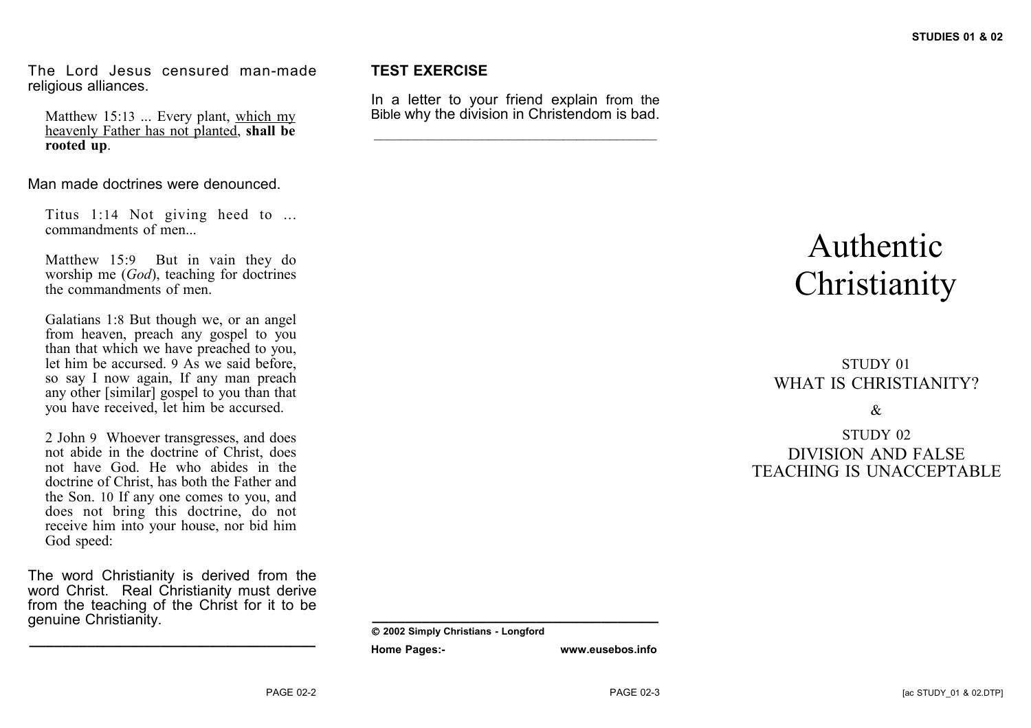The Lord Jesus censured man-made religious alliances.

Matthew 15:13 ... Every plant, which my heavenly Father has not planted, **shall be rooted up**.

Man made doctrines were denounced.

Titus 1:14 Not giving heed to ... commandments of men...

Matthew 15:9 But in vain they do worship me (*God*), teaching for doctrines the commandments of men.

Galatians 1:8 But though we, or an angel from heaven, preach any gospel to you than that which we have preached to you, let him be accursed. 9 As we said before, so say I now again, If any man preach any other [similar] gospel to you than that you have received, let him be accursed.

2 John 9 Whoever transgresses, and does not abide in the doctrine of Christ, does not have God. He who abides in the doctrine of Christ, has both the Father and the Son. 10 If any one comes to you, and does not bring this doctrine, do not receive him into your house, nor bid him God speed:

The word Christianity is derived from the word Christ. Real Christianity must derive from the teaching of the Christ for it to be genuine Christianity.

**\_\_\_\_\_\_\_\_\_\_\_\_\_\_\_\_\_\_\_\_\_\_\_\_\_\_\_\_\_\_\_\_\_\_\_**

#### **TEST EXERCISE**

In a letter to your friend explain from the Bible why the division in Christendom is bad.

 $\mathcal{L}_\text{max}$  and  $\mathcal{L}_\text{max}$  and  $\mathcal{L}_\text{max}$  and  $\mathcal{L}_\text{max}$ 

# Authentic **Christianity**

### STUDY 01 WHAT IS CHRISTIANITY?

&

#### STUDY 02 DIVISION AND FALSE TEACHING IS UNACCEPTABLE

**\_\_\_\_\_\_\_\_\_\_\_\_\_\_\_\_\_\_\_\_\_\_\_\_\_\_\_\_\_\_\_\_\_\_\_**

**Home Pages:- www.eusebos.info**

**2002 Simply Christians - Longford**